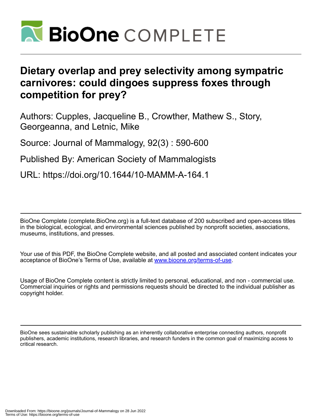

# **Dietary overlap and prey selectivity among sympatric carnivores: could dingoes suppress foxes through competition for prey?**

Authors: Cupples, Jacqueline B., Crowther, Mathew S., Story, Georgeanna, and Letnic, Mike

Source: Journal of Mammalogy, 92(3) : 590-600

Published By: American Society of Mammalogists

URL: https://doi.org/10.1644/10-MAMM-A-164.1

BioOne Complete (complete.BioOne.org) is a full-text database of 200 subscribed and open-access titles in the biological, ecological, and environmental sciences published by nonprofit societies, associations, museums, institutions, and presses.

Your use of this PDF, the BioOne Complete website, and all posted and associated content indicates your acceptance of BioOne's Terms of Use, available at www.bioone.org/terms-of-use.

Usage of BioOne Complete content is strictly limited to personal, educational, and non - commercial use. Commercial inquiries or rights and permissions requests should be directed to the individual publisher as copyright holder.

BioOne sees sustainable scholarly publishing as an inherently collaborative enterprise connecting authors, nonprofit publishers, academic institutions, research libraries, and research funders in the common goal of maximizing access to critical research.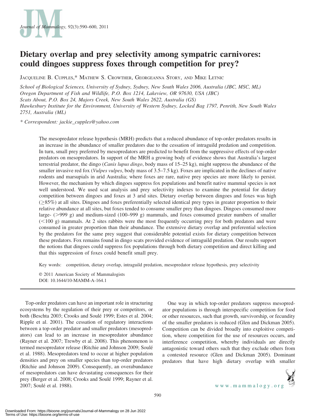

# Dietary overlap and prey selectivity among sympatric carnivores: could dingoes suppress foxes through competition for prey?

JACQUELINE B. CUPPLES,\* MATHEW S. CROWTHER, GEORGEANNA STORY, AND MIKE LETNIC

School of Biological Sciences, University of Sydney, Sydney, New South Wales 2006, Australia (JBC, MSC, ML) Oregon Department of Fish and Wildlife, P.O. Box 1214, Lakeview, OR 97630, USA (JBC) Scats About, P.O. Box 24, Majors Creek, New South Wales 2622, Australia (GS) Hawkesbury Institute for the Environment, University of Western Sydney, Locked Bag 1797, Penrith, New South Wales 2751, Australia (ML)

\* Correspondent: jackie\_cupples@yahoo.com

The mesopredator release hypothesis (MRH) predicts that a reduced abundance of top-order predators results in an increase in the abundance of smaller predators due to the cessation of intraguild predation and competition. In turn, small prey preferred by mesopredators are predicted to benefit from the suppressive effects of top-order predators on mesopredators. In support of the MRH a growing body of evidence shows that Australia's largest terrestrial predator, the dingo (*Canis lupus dingo*, body mass of 15–25 kg), might suppress the abundance of the smaller invasive red fox (*Vulpes vulpes*, body mass of 3.5–7.5 kg). Foxes are implicated in the declines of native rodents and marsupials in arid Australia; where foxes are rare, native prey species are more likely to persist. However, the mechanism by which dingoes suppress fox populations and benefit native mammal species is not well understood. We used scat analysis and prey selectivity indexes to examine the potential for dietary competition between dingoes and foxes at 3 arid sites. Dietary overlap between dingoes and foxes was high  $(\geq$ 85%) at all sites. Dingoes and foxes preferentially selected identical prey types in greater proportion to their relative abundance at all sites, but foxes tended to consume smaller prey than dingoes. Dingoes consumed more large-  $(>999 g)$  and medium-sized  $(100–999 g)$  mammals, and foxes consumed greater numbers of smaller  $(< 100 \text{ g})$  mammals. At 2 sites rabbits were the most frequently occurring prey for both predators and were consumed in greater proportion than their abundance. The extensive dietary overlap and preferential selection by the predators for the same prey suggest that considerable potential exists for dietary competition between these predators. Fox remains found in dingo scats provided evidence of intraguild predation. Our results support the notions that dingoes could suppress fox populations through both dietary competition and direct killing and that this suppression of foxes could benefit small prey.

Key words: competition, dietary overlap, intraguild predation, mesopredator release hypothesis, prey selectivity

E 2011 American Society of Mammalogists DOI: 10.1644/10-MAMM-A-164.1

Top-order predators can have an important role in structuring ecosystems by the regulation of their prey or competitors, or both (Beschta 2003; Crooks and Soulé 1999; Estes et al. 2004; Ripple et al. 2001). The cessation of regulatory interactions between a top-order predator and smaller predators (mesopredators) can lead to an increase in mesopredator abundance (Rayner et al. 2007; Trewby et al. 2008). This phenomenon is termed mesopredator release (Ritchie and Johnson 2009; Soule´ et al. 1988). Mesopredators tend to occur at higher population densities and prey on smaller species than top-order predators (Ritchie and Johnson 2009). Consequently, an overabundance of mesopredators can have devastating consequences for their prey (Berger et al. 2008; Crooks and Soulé 1999; Rayner et al. 2007; Soulé et al. 1988).

One way in which top-order predators suppress mesopredator populations is through interspecific competition for food or other resources, such that growth, survivorship, or fecundity of the smaller predators is reduced (Glen and Dickman 2005). Competition can be divided broadly into exploitive competition, where competition for the use of resources occurs, and interference competition, whereby individuals are directly antagonistic toward others such that they exclude others from a contested resource (Glen and Dickman 2005). Dominant predators that have high dietary overlap with smaller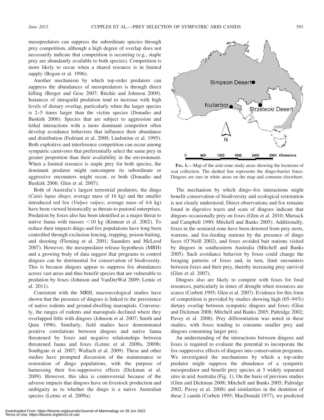mesopredators can suppress the subordinate species through prey competition, although a high degree of overlap does not necessarily indicate that competition is occurring (e.g., staple prey are abundantly available to both species). Competition is more likely to occur when a shared resource is in limited supply (Begon et al. 1996).

Another mechanism by which top-order predators can suppress the abundances of mesopredators is through direct killing (Berger and Gese 2007; Ritchie and Johnson 2009). Instances of intraguild predation tend to increase with high levels of dietary overlap, particularly when the larger species is 2–5 times larger than the victim species (Donadio and Buskirk 2006). Species that are subject to aggression and lethal interactions with a more dominant competitor often develop avoidance behaviors that influence their abundance and distribution (Fedriani et al. 2000; Lindström et al. 1995). Both exploitive and interference competition can occur among sympatric carnivores that preferentially select the same prey in greater proportion than their availability in the environment. When a limited resource is staple prey for both species, the dominant predator might outcompete its subordinate or aggressive encounters might occur, or both (Donadio and Buskirk 2006; Glen et al. 2007).

Both of Australia's largest terrestrial predators, the dingo (Canis lupus dingo; average mass of 16 kg) and the smaller introduced red fox (Vulpes vulpes; average mass of 4.6 kg) have been viewed historically as threats to pastoral enterprises. Predation by foxes also has been identified as a major threat to native fauna with masses  $\leq 10$  kg (Kinnear et al. 2002). To reduce their impacts dingo and fox populations have long been controlled through exclusion fencing, trapping, poison-baiting, and shooting (Fleming et al. 2001; Saunders and McLeod 2007). However, the mesopredator release hypothesis (MRH) and a growing body of data suggest that programs to control dingoes can be detrimental for conservation of biodiversity. This is because dingoes appear to suppress fox abundances across vast areas and thus benefit species that are vulnerable to predation by foxes (Johnson and VanDerWal 2009; Letnic et al. 2011).

Consistent with the MRH, macroecological studies have shown that the presence of dingoes is linked to the persistence of native rodents and ground-dwelling marsupials. Conversely, the ranges of rodents and marsupials declined where they overlapped little with dingoes (Johnson et al. 2007; Smith and Quin 1996). Similarly, field studies have demonstrated positive correlations between dingoes and native fauna threatened by foxes and negative relationships between threatened fauna and foxes (Letnic et al. 2009a, 2009b; Southgate et al. 2007; Wallach et al. 2009). These and other studies have prompted discussion of the maintenance or restoration of dingo populations, with the purpose of harnessing their fox-suppressive effects (Dickman et al. 2009). However, this idea is controversial because of the adverse impacts that dingoes have on livestock production and ambiguity as to whether the dingo is a native Australian species (Letnic et al. 2009a).



FIG. 1.—Map of the arid-zone study areas showing the locations of scat collection. The dashed line represents the dingo-barrier fence. Dingoes are rare in white areas on the map and common elsewhere.

The mechanism by which dingo–fox interactions might benefit conservation of biodiversity and ecological restoration is not clearly understood. Direct observations and fox remains found in digestive tracts and scats of dingoes indicate that dingoes occasionally prey on foxes (Glen et al. 2010; Marsack and Campbell 1990; Mitchell and Banks 2005). Additionally, foxes in the semiarid zone have been deterred from prey nests, warrens, and fox-feeding stations by the presence of dingo feces (O'Neill 2002), and foxes avoided bait stations visited by dingoes in southeastern Australia (Mitchell and Banks 2005). Such avoidance behavior by foxes could change the foraging patterns of foxes and, in turn, limit encounters between foxes and their prey, thereby increasing prey survival (Glen et al. 2007).

Dingoes also are likely to compete with foxes for food resources, particularly in times of drought when resources are scarce (Corbett 1995; Glen et al. 2007). Evidence for this form of competition is provided by studies showing high (65–94%) dietary overlap between sympatric dingoes and foxes (Glen and Dickman 2008; Mitchell and Banks 2005; Paltridge 2002; Pavey et al. 2008). Prey differentiation was noted in these studies, with foxes tending to consume smaller prey and dingoes consuming larger prey.

An understanding of the interactions between dingoes and foxes is required to evaluate the potential to incorporate the fox-suppressive effects of dingoes into conservation programs. We investigated the mechanisms by which a top-order predator might suppress the abundance of a sympatric mesopredator and benefit prey species at 3 widely separated sites in arid Australia (Fig. 1). On the basis of previous studies (Glen and Dickman 2008; Mitchell and Banks 2005; Paltridge 2002; Pavey et al. 2008) and similarities in the dentition of these 2 canids (Corbett 1995; MacDonald 1977), we predicted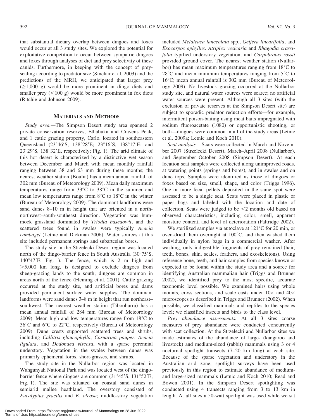that substantial dietary overlap between dingoes and foxes would occur at all 3 study sites. We explored the potential for exploitative competition to occur between sympatric dingoes and foxes through analyses of diet and prey selectivity of these canids. Furthermore, in keeping with the concept of preyscaling according to predator size (Sinclair et al. 2003) and the predictions of the MRH, we anticipated that larger prey  $(\geq 1,000 \text{ g})$  would be more prominent in dingo diets and smaller prey  $(<100 g)$  would be more prominent in fox diets (Ritchie and Johnson 2009).

## MATERIALS AND METHODS

Study area.—The Simpson Desert study area spanned 2 private conservation reserves, Ethabuka and Cravens Peak, and 1 cattle grazing property, Carlo, located in southeastern Queensland (23°46′S, 138°28′E; 23°16′S, 138°17′E; and  $23^{\circ}29'$ S,  $138^{\circ}32'E$ , respectively; Fig. 1). The arid climate of this hot desert is characterized by a distinctive wet season between December and March with mean monthly rainfall ranging between 38 and 63 mm during these months; the nearest weather station (Boulia) has a mean annual rainfall of 302 mm (Bureau of Meteorology 2009). Mean daily maximum temperatures range from  $33^{\circ}$ C to  $38^{\circ}$ C in the summer and mean low temperatures range from  $8^{\circ}$ C to  $18^{\circ}$ C in the winter (Bureau of Meteorology 2009). The dominant landforms were sand dunes 8–10 m in height that are oriented in a northnorthwest–south-southeast direction. Vegetation was hummock grassland dominated by Triodia basedowii, and the scattered trees found in swales were typically Acacia cambagei (Letnic and Dickman 2006). Water sources at this site included permanent springs and subartesian bores.

The study site in the Strzelecki Desert region was located north of the dingo-barrier fence in South Australia  $(30^{\circ}75^{\prime}S,$  $140^{\circ}47'E$ ; Fig. 1). The fence, which is 2 m high and  $>5,000$  km long, is designed to exclude dingoes from sheep-grazing lands to the south; dingoes are common in areas north of the fence (Fleming et al. 2001). Cattle grazing occurred at the study site, and artificial bores and dams provided permanent surface water supplies. The dominant landforms were sand dunes 3–8 m in height that run northeast– southwest. The nearest weather station (Tibooburra) has a mean annual rainfall of 284 mm (Bureau of Meteorology 2009). Mean high and low temperatures range from  $18^{\circ}$ C to  $36^{\circ}$ C and  $6^{\circ}$ C to  $22^{\circ}$ C, respectively (Bureau of Meteorology 2009). Dune crests supported scattered trees and shrubs, including Callitris glaucophylla, Casuarina pauper, Acacia ligulata, and Dodonaea viscosa, with a sparse perennial understory. Vegetation in the swales between dunes was primarily ephemeral forbs, short-grasses, and shrubs.

The study site in the Nullarbor region was located in Wahgunyah National Park and was located west of the dingobarrier fence where dingoes are common  $(31^{\circ}45^{\prime}S, 131^{\circ}52^{\prime}E;$ Fig. 1). The site was situated on coastal sand dunes in semiarid mallee heathland. The overstory consisted of Eucalyptus gracilis and E. oleosa; middle-story vegetation included Melaleuca lanceolata spp., Geijera linearifolia, and Exocarpos aphyllus. Atriplex vesicaria and Rhagodia crassifolia typified understory vegetation, and Carpobrotus rossii provided ground cover. The nearest weather station (Nullarbor) has mean maximum temperatures ranging from  $18^{\circ}$ C to  $28^{\circ}$ C and mean minimum temperatures ranging from  $5^{\circ}$ C to  $16^{\circ}$ C; mean annual rainfall is 302 mm (Bureau of Meteorology 2009). No livestock grazing occurred at the Nullarbor study site, and natural water sources were scarce; no artificial water sources were present. Although all 3 sites (with the exclusion of private reserves at the Simpson Desert site) are subject to sporadic predator reduction efforts—for example, intermittent poison-baiting using meat baits impregnated with sodium fluoroacetate (1080) or opportunistic shooting, or both—dingoes were common in all of the study areas (Letnic et al. 2009a; Letnic and Koch 2010).

Scat analysis.—Scats were collected in March and November 2007 (Strzelecki Desert), March–April 2008 (Nullarbor), and September–October 2008 (Simpson Desert). At each location scat samples were collected along unimproved roads, at watering points (springs and bores), and in swales and on dune tops. Samples were identified as those of dingoes or foxes based on size, smell, shape, and color (Triggs 1996). One or more fecal pellets deposited in the same spot were assessed to be a single scat. Scats were placed in plastic or paper bags and labeled with the location and date of collection. Scats were judged to be  $\leq$  months old based on observed characteristics, including color, smell, apparent moisture content, and level of deterioration (Paltridge 2002).

We sterilized samples via autoclave at  $121^{\circ}$ C for 20 min, or oven-dried them overnight at  $100^{\circ}$ C, and then washed them individually in nylon bags in a commercial washer. After washing, only indigestible fragments of prey remained (hair, teeth, bones, skin, scales, feathers, and exoskeletons). Using reference bone, teeth, and hair samples from species known or expected to be found within the study area and a source for identifying Australian mammalian hair (Triggs and Brunner 2002), we identified prey to the most specific, accurate taxonomic level possible. We examined hairs using whole mounts, cross sections, and scale casts under  $10\times$  and  $40\times$ microscopes as described in Triggs and Brunner (2002). When possible, we classified mammals and reptiles to the species level; we classified insects and birds to the class level.

Prey abundance assessments.—At all 3 sites coarse measures of prey abundance were conducted concurrently with scat collection. At the Strzelecki and Nullarbor sites we made estimates of the abundance of large- (kangaroo and livestock) and medium-sized (rabbit) mammals using 3 or 4 nocturnal spotlight transects (7–20 km long) at each site. Because of the sparse vegetation and understory in the Australian arid zone, spotlight surveys have been used previously in this region to estimate abundance of mediumand large-sized mammals (Letnic and Koch 2010; Read and Bowen 2001). In the Simpson Desert spotlighting was conducted using 4 transects ranging from 3 to 13 km in length. At all sites a 50-watt spotlight was used while we sat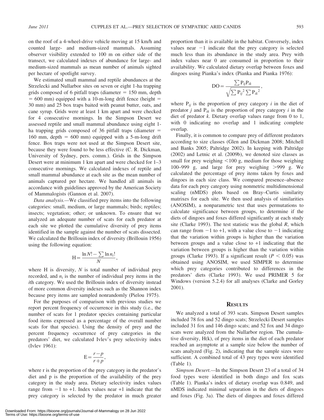on the roof of a 4-wheel-drive vehicle moving at 15 km/h and counted large- and medium-sized mammals. Assuming observer visibility extended to 100 m on either side of the transect, we calculated indexes of abundance for large- and medium-sized mammals as mean number of animals sighted per hectare of spotlight survey.

We estimated small mammal and reptile abundances at the Strzelecki and Nullarbor sites on seven or eight 1-ha trapping grids composed of 6 pitfall traps (diameter  $= 150$  mm, depth  $= 600$  mm) equipped with a 10-m-long drift fence (height  $=$ 30 mm) and 25 box traps baited with peanut butter, oats, and cane syrup. Grids were at least 1 km apart and were checked for 4 consecutive mornings. In the Simpson Desert we assessed reptile and small mammal abundance using eight 1 ha trapping grids composed of 36 pitfall traps (diameter  $=$ 160 mm, depth  $= 600$  mm) equipped with a 5-m-long drift fence. Box traps were not used at the Simpson Desert site, because they were found to be less effective (C. R. Dickman, University of Sydney, pers. comm.). Grids in the Simpson Desert were at minimum 1 km apart and were checked for 1–3 consecutive mornings. We calculated indexes of reptile and small mammal abundance at each site as the mean number of animals captured per hectare. We handled all animals in accordance with guidelines approved by the American Society of Mammalogists (Gannon et al. 2007).

Data analysis.—We classified prey items into the following categories: small, medium, or large mammals; birds; reptiles; insects; vegetation; other; or unknown. To ensure that we analyzed an adequate number of scats for each predator at each site we plotted the cumulative diversity of prey items identified in the sample against the number of scats dissected. We calculated the Brillouin index of diversity (Brillouin 1956) using the following equation:

$$
H = \frac{\ln N! - \sum \ln n_i!}{N},
$$

where H is diversity,  $N$  is total number of individual prey recorded, and  $n_i$  is the number of individual prey items in the ith category. We used the Brillouin index of diversity instead of more common diversity indexes such as the Shannon index because prey items are sampled nonrandomly (Pielou 1975).

For the purposes of comparison with previous studies we report percent frequency of occurrence in this study (i.e., the number of scats for 1 predator species containing particular food items expressed as a percentage of the overall number scats for that species). Using the density of prey and the percent frequency occurrence of prey categories in the predators' diet, we calculated Ivlev's prey selectivity index (Ivlev 1961):

$$
E = \frac{r - p}{r + p},
$$

where r is the proportion of the prey category in the predator's diet and p is the proportion of the availability of the prey category in the study area. Dietary selectivity index values range from  $-1$  to  $+1$ . Index values near  $+1$  indicate that the prey category is selected by the predator in much greater

Downloaded From: https://bioone.org/journals/Journal-of-Mammalogy on 28 Jun 2022 Terms of Use: https://bioone.org/terms-of-use

proportion than it is available in the habitat. Conversely, index values near  $-1$  indicate that the prey category is selected much less than its abundance in the study area. Prey with index values near 0 are consumed in proportion to their availability. We calculated dietary overlap between foxes and dingoes using Pianka's index (Pianka and Pianka 1976):

$$
DO = \frac{\sum P_{ij} P_{ik}}{\sqrt{\sum P_{ij}^2 \sum P_{ik}^2}},
$$

where  $P_{ij}$  is the proportion of prey category *i* in the diet of predator *j* and  $P_{ik}$  is the proportion of prey category *i* in the diet of predator k. Dietary overlap values range from 0 to 1, with 0 indicating no overlap and 1 indicating complete overlap.

Finally, it is common to compare prey of different predators according to size classes (Glen and Dickman 2008; Mitchell and Banks 2005; Paltridge 2002). In keeping with Paltridge (2002) and Letnic et al. (2009b), we denoted size classes as small for prey weighing  $\leq 100$  g, medium for those weighing 100–999 g, and large for prey weighing  $>999$  g. We calculated the percentage of prey items taken by foxes and dingoes in each size class. We compared presence–absence data for each prey category using nonmetric multidimensional scaling (nMDS) plots based on Bray–Curtis similarity matrixes for each site. We then used analysis of similarities (ANOSIM), a nonparametric test that uses permutations to calculate significance between groups, to determine if the diets of dingoes and foxes differed significantly at each study site (Clarke 1993). The test statistic was the global  $R$ , which can range from  $-1$  to  $+1$ , with a value close to  $-1$  indicating that the variation within groups is higher than the variation between groups and a value close to  $+1$  indicating that the variation between groups is higher than the variation within groups (Clarke 1993). If a significant result ( $P < 0.05$ ) was obtained using ANOSIM, we used SIMPER to determine which prey categories contributed to differences in the predators' diets (Clarke 1993). We used PRIMER 5 for Windows (version 5.2.4) for all analyses (Clarke and Gorley 2001).

#### **RESULTS**

We analyzed a total of 393 scats. Simpson Desert samples included 78 fox and 52 dingo scats; Strzelecki Desert samples included 31 fox and 146 dingo scats; and 52 fox and 34 dingo scats were analyzed from the Nullarbor region. The cumulative diversity, H(k), of prey items in the diet of each predator reached an asymptote at a sample size below the number of scats analyzed (Fig. 2), indicating that the sample sizes were sufficient. A combined total of 43 prey types were identified (Table 1).

Simpson Desert.—In the Simpson Desert 23 of a total of 34 food types were identified in both dingo and fox scats (Table 1). Pianka's index of dietary overlap was 0.849, and nMDS indicated minimal separation in the diets of dingoes and foxes (Fig. 3a). The diets of dingoes and foxes differed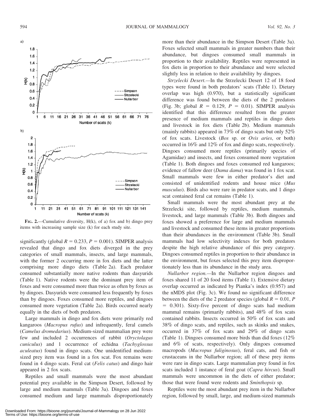

FIG. 2.—Cumulative diversity,  $H(k)$ , of a) fox and b) dingo prey items with increasing sample size (k) for each study site.

significantly (global  $R = 0.233$ ,  $P = 0.001$ ). SIMPER analysis revealed that dingo and fox diets diverged in the prey categories of small mammals, insects, and large mammals, with the former 2 occurring more in fox diets and the latter comprising more dingo diets (Table 2a). Each predator consumed substantially more native rodents than dasyurids (Table 1). Native rodents were the dominant prey item of foxes and were consumed more than twice as often by foxes as by dingoes. Dasyurids were consumed less frequently by foxes than by dingoes. Foxes consumed more reptiles, and dingoes consumed more vegetation (Table 2a). Birds occurred nearly equally in the diets of both predators.

Large mammals in dingo and fox diets were primarily red kangaroos (Macropus rufus) and infrequently, feral camels (Camelus dromedarius). Medium-sized mammalian prey were few and included 2 occurrences of rabbit (Oryctolagus cuniculus) and 1 occurrence of echidna (Tachyglossus aculeatus) found in dingo scats. One unidentified mediumsized prey item was found in a fox scat. Fox remains were found in 4 dingo scats. Feral cat (Felis catus) and dingo hair appeared in 2 fox scats.

Reptiles and small mammals were the most abundant potential prey available in the Simpson Desert, followed by large and medium mammals (Table 3a). Dingoes and foxes consumed medium and large mammals disproportionately more than their abundance in the Simpson Desert (Table 3a). Foxes selected small mammals in greater numbers than their abundance, but dingoes consumed small mammals in proportion to their availability. Reptiles were represented in fox diets in proportion to their abundance and were selected slightly less in relation to their availability by dingoes.

Strzelecki Desert.—In the Strzelecki Desert 12 of 18 food types were found in both predators' scats (Table 1). Dietary overlap was high (0.970), but a statistically significant difference was found between the diets of the 2 predators (Fig. 3b; global  $R = 0.129$ ,  $P = 0.01$ ). SIMPER analysis identified that this difference resulted from the greater presence of medium mammals and reptiles in dingo diets and livestock in fox diets (Table 2b). Medium mammals (mainly rabbits) appeared in 73% of dingo scats but only  $52\%$ of fox scats. Livestock (Bos sp. or Ovis aries, or both) occurred in 16% and 12% of fox and dingo scats, respectively. Dingoes consumed more reptiles (primarily species of Agamidae) and insects, and foxes consumed more vegetation (Table 1). Both dingoes and foxes consumed red kangaroos; evidence of fallow deer (*Dama dama*) was found in 1 fox scat. Small mammals were few in either predator's diet and consisted of unidentified rodents and house mice (Mus musculus). Birds also were rare in predator scats, and 1 dingo scat contained feral cat remains (Table 1).

Small mammals were the most abundant prey at the Strzelecki site, followed by reptiles, medium mammals, livestock, and large mammals (Table 3b). Both dingoes and foxes showed a preference for large and medium mammals and livestock and consumed these items in greater proportions than their abundances in the environment (Table 3b). Small mammals had low selectivity indexes for both predators despite the high relative abundance of this prey category. Dingoes consumed reptiles in proportion to their abundance in the environment, but foxes selected this prey item disproportionately less than its abundance in the study area.

Nullarbor region.—In the Nullarbor region dingoes and foxes shared 11 of 20 food items (Table 1). Extensive dietary overlap occurred as indicated by Pianka's index (0.957) and the nMDS plot (Fig. 3c). We found no significant difference between the diets of the 2 predator species (global  $R = 0.01$ , P  $= 0.301$ ). Sixty-five percent of dingo scats had medium mammal remains (primarily rabbits), and 48% of fox scats contained rabbits. Insects occurred in 50% of fox scats and 38% of dingo scats, and reptiles, such as skinks and snakes, occurred in 37% of fox scats and 29% of dingo scats (Table 1). Dingoes consumed more birds than did foxes (12% and 6% of scats, respectively). Only dingoes consumed macropods (Macropus fuliginosus), feral cats, and fish or crustaceans in the Nullarbor region; all of these prey items were rare in dingo scats. Large mammalian prey found in fox scats included 1 instance of feral goat (Capra hircus). Small mammals were uncommon in the diets of either predator; those that were found were rodents and Sminthopsis sp.

Reptiles were the most abundant prey item in the Nullarbor region, followed by small, large, and medium-sized mammals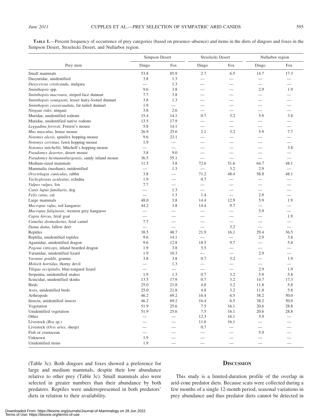TABLE 1.—Percent frequency of occurrence of prey categories (based on presence–absence) and items in the diets of dingoes and foxes in the Simpson Desert, Strzelecki Desert, and Nullarbor region.

|                                                    | Simpson Desert                   |                          | Strzelecki Desert        |                               | Nullarbor region                |                          |
|----------------------------------------------------|----------------------------------|--------------------------|--------------------------|-------------------------------|---------------------------------|--------------------------|
| Prey item                                          | Dingo                            | Fox                      | Dingo                    | Fox                           | Dingo                           | Fox                      |
| Small mammals                                      | 53.8                             | 85.9                     | 2.7                      | 6.5                           | 14.7                            | 17.3                     |
| Dasyuridae, unidentified                           | 3.8                              | 1.3                      | $\overline{\phantom{0}}$ |                               |                                 |                          |
| Dasycercus cristicauda, mulgara                    | $\equiv$                         | 1.3                      |                          |                               |                                 |                          |
| Sminthopsis spp.                                   | 9.6                              | 3.8                      |                          | $\overline{\phantom{0}}$      | 2.9                             | 1.9                      |
| Sminthopsis macroura, striped-face dunnart         | 7.7                              | 3.8                      |                          |                               |                                 |                          |
| Sminthopsis youngsoni, lesser hairy-footed dunnart | 3.8                              | 1.3                      |                          |                               |                                 |                          |
| Sminthopsis crassicaudata, fat-tailed dunnart      | 1.9                              |                          |                          |                               |                                 |                          |
| Ningaui ridei, ningaui                             | 3.8                              | 2.6                      | $\overline{\phantom{0}}$ | $\overline{\phantom{0}}$      | $\overline{\phantom{0}}$        |                          |
| Muridae, unidentified rodents                      | 15.4                             | 14.1                     | 0.7                      | 3.2                           | 5.9                             | 3.8                      |
| Muridae, unidentified native rodents               | 13.5                             | 17.9                     | $\overline{\phantom{0}}$ | $\overline{\phantom{0}}$      |                                 |                          |
| Leggadina forresti, Forrest's mouse                | 5.8                              | 14.1                     | $\overline{\phantom{0}}$ | $\qquad \qquad$               | $\overline{\phantom{0}}$        | $\overline{\phantom{0}}$ |
| Mus musculus, house mouse                          | 26.9                             | 25.6                     | 2.1                      | 3.2                           | 5.9                             | 7.7                      |
| Notomys alexis, spinifex hopping-mouse             | 9.6                              | 23.1                     |                          |                               |                                 |                          |
| Notomys cervinus, fawn hopping-mouse               | 1.9                              |                          |                          |                               |                                 | $\overline{\phantom{0}}$ |
| Notomys mitchellii, Mitchell's hopping-mouse       | $\overbrace{\phantom{12322111}}$ |                          |                          |                               |                                 | 3.8                      |
| Pseudomys desertor, desert mouse                   | 3.8                              | 9.0                      |                          |                               |                                 |                          |
| Pseudomys hermannsburgensis, sandy inland mouse    | 36.5                             | 55.1                     |                          | $\overbrace{\phantom{12332}}$ | $\overline{\phantom{0}}$        |                          |
| Medium-sized mammals                               | 11.5                             | 3.8                      | 72.6                     | 51.6                          | 64.7                            | 48.1                     |
| Mammalia (medium), unidentified                    | $\qquad \qquad$                  | 1.3                      | $\overline{\phantom{0}}$ | 3.2                           | 2.9                             |                          |
| Oryctolagus cuniculus, rabbit                      | 3.8                              |                          | 71.2                     | 48.4                          | 58.8                            | 48.1                     |
| Tachyglossus aculeatus, echidna                    | 1.9                              |                          | 0.7                      |                               |                                 |                          |
| Vulpes vulpes, fox                                 | 7.7                              | $\overline{\phantom{0}}$ |                          |                               |                                 |                          |
|                                                    |                                  | 1.3                      |                          |                               |                                 |                          |
| Canis lupus familiaris, dog<br>Felis catus, cat    |                                  | 1.3                      | 1.4                      |                               | $\overline{\phantom{0}}$<br>2.9 |                          |
|                                                    | 48.0                             | 3.8                      | 14.4                     | 12.9                          | 5.9                             | 1.9                      |
| Large mammals                                      |                                  | 3.8                      |                          | 9.7                           |                                 |                          |
| Macropus rufus, red kangaroo                       | 44.2                             |                          | 14.4                     |                               | $\overline{\phantom{0}}$<br>5.9 |                          |
| Macropus fuliginosis, western grey kangaroo        | $\overline{\phantom{0}}$         | $\overline{\phantom{0}}$ | $\overline{\phantom{0}}$ |                               |                                 |                          |
| Capra hircus, feral goat                           | 7.7                              |                          |                          | $\overline{\phantom{0}}$      |                                 | 1.9                      |
| Camelus dromedarius, feral camel                   |                                  |                          |                          |                               |                                 |                          |
| Dama dama, fallow deer                             | $\overline{\phantom{0}}$         |                          |                          | 3.2                           |                                 |                          |
| Reptiles                                           | 38.5                             | 48.7                     | 21.9                     | 16.1                          | 29.4                            | 36.5                     |
| Reptilia, unidentified reptiles                    | 9.6                              | 14.1                     | $\overline{\phantom{0}}$ |                               | 2.9                             | 3.8                      |
| Agamidae, unidentified dragon                      | 9.6                              | 12.8                     | 18.5                     | 9.7                           | $\overline{\phantom{0}}$        | 5.8                      |
| Pogona vitticeps, inland bearded dragon            | 1.9                              | 3.8                      | 5.5                      | $\qquad \qquad$               |                                 |                          |
| Varanidae, unidentified lizard                     | 1.9                              | 10.3                     | $\overline{\phantom{0}}$ | $\overbrace{\phantom{12332}}$ | 2.9                             |                          |
| Varanus gouldii, goanna                            | 3.8                              | 3.8                      | 0.7                      | 3.2                           | $\overline{\phantom{0}}$        | 1.9                      |
| Moloch horridus, thorny devil                      | $\overline{\phantom{0}}$         | 1.3                      |                          |                               | $\overline{\phantom{0}}$        |                          |
| Tiliqua occipitalis, blue-tongued lizard           |                                  |                          | $\overline{\phantom{0}}$ |                               | 2.9                             | 1.9                      |
| Serpentia, unidentified snakes                     | 1.9                              | 1.3                      | 0.7                      | 3.2                           | 5.9                             | 5.8                      |
| Scincidae, unidentified skinks                     | 13.5                             | 17.9                     | 0.7                      | 3.2                           | 14.7                            | 17.3                     |
| <b>Birds</b>                                       | 25.0                             | 21.8                     | 4.8                      | 3.2                           | 11.8                            | 5.8                      |
| Aves, unidentified birds                           | 25.0                             | 21.8                     | 4.8                      | 3.2                           | 11.8                            | 5.8                      |
| Arthropods                                         | 46.2                             | 69.2                     | 16.4                     | 6.5                           | 38.2                            | 50.0                     |
| Insecta, unidentified insects                      | 46.2                             | 69.2                     | 16.4                     | 6.5                           | 38.2                            | 50.0                     |
| Vegetation                                         | 51.9                             | 25.6                     | $7.5$                    | 16.1                          | 20.6                            | $28.8\,$                 |
| Unidentified vegetation                            | 51.9                             | 25.6                     | 7.5                      | 16.1                          | 20.6                            | 28.8                     |
| Other                                              |                                  |                          | 12.3                     | 16.1                          | 5.9                             |                          |
| Livestock $(Bos$ sp.)                              |                                  |                          | 11.6                     | 16.1                          |                                 |                          |
| Livestock (Ovis aries, sheep)                      | $\overline{\phantom{0}}$         |                          | 0.7                      |                               |                                 |                          |
| Fish or crustacean                                 | $\qquad \qquad -$                |                          |                          |                               | 5.9                             |                          |
| Unknown                                            | 1.9                              |                          |                          |                               |                                 |                          |
| Unidentified items                                 | 1.9                              |                          |                          |                               |                                 |                          |

(Table 3c). Both dingoes and foxes showed a preference for large and medium mammals, despite their low abundance relative to other prey (Table 3c). Small mammals also were selected in greater numbers than their abundance by both predators. Reptiles were underrepresented in both predators' diets in relation to their availability.

### **DISCUSSION**

This study is a limited-duration profile of the overlap in arid-zone predator diets. Because scats were collected during a few months of a single 12-month period, seasonal variations in prey abundance and thus predator diets cannot be detected in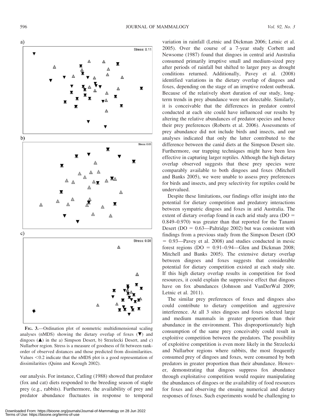

FIG. 3.—Ordination plot of nonmetric multidimensional scaling analyses (nMDS) showing the dietary overlap of foxes  $(\nabla)$  and dingoes  $(**A**)$  in the a) Simpson Desert, b) Strzelecki Desert, and c) Nullarbor region. Stress is a measure of goodness of fit between rankorder of observed distances and those predicted from dissimilarities. Values  $<$  0.2 indicate that the nMDS plot is a good representation of dissimilarities (Quinn and Keough 2002).

our analysis. For instance, Catling (1988) showed that predator (fox and cat) diets responded to the breeding season of staple prey (e.g., rabbits). Furthermore, the availability of prey and predator abundance fluctuates in response to temporal variation in rainfall (Letnic and Dickman 2006; Letnic et al. 2005). Over the course of a 7-year study Corbett and Newsome (1987) found that dingoes in central arid Australia consumed primarily irruptive small and medium-sized prey after periods of rainfall but shifted to larger prey as drought conditions returned. Additionally, Pavey et al. (2008) identified variations in the dietary overlap of dingoes and foxes, depending on the stage of an irruptive rodent outbreak. Because of the relatively short duration of our study, longterm trends in prey abundance were not detectable. Similarly, it is conceivable that the differences in predator control conducted at each site could have influenced our results by altering the relative abundances of predator species and hence their prey preferences (Roberts et al. 2006). Assessments of prey abundance did not include birds and insects, and our analyses indicated that only the latter contributed to the difference between the canid diets at the Simpson Desert site. Furthermore, our trapping techniques might have been less effective in capturing larger reptiles. Although the high dietary overlap observed suggests that these prey species were comparably available to both dingoes and foxes (Mitchell and Banks 2005), we were unable to assess prey preferences for birds and insects, and prey selectivity for reptiles could be undervalued.

Despite these limitations, our findings offer insight into the potential for dietary competition and predatory interactions between sympatric dingoes and foxes in arid Australia. The extent of dietary overlap found in each arid study area ( $DO =$ 0.849–0.970) was greater than that reported for the Tanami Desert ( $DO = 0.63$ —Paltridge 2002) but was consistent with findings from a previous study from the Simpson Desert (DO  $= 0.93$ —Pavey et al. 2008) and studies conducted in mesic forest regions  $(DO = 0.91 - 0.94$ —Glen and Dickman 2008; Mitchell and Banks 2005). The extensive dietary overlap between dingoes and foxes suggests that considerable potential for dietary competition existed at each study site. If this high dietary overlap results in competition for food resources, it could explain the suppressive effect that dingoes have on fox abundances (Johnson and VanDerWal 2009; Letnic et al. 2011).

The similar prey preferences of foxes and dingoes also could contribute to dietary competition and aggressive interference. At all 3 sites dingoes and foxes selected large and medium mammals in greater proportion than their abundance in the environment. This disproportionately high consumption of the same prey conceivably could result in exploitive competition between the predators. The possibility of exploitive competition is even more likely in the Strzelecki and Nullarbor regions where rabbits, the most frequently consumed prey of dingoes and foxes, were consumed by both predators in greater proportion than their abundance. However, demonstrating that dingoes suppress fox abundance through exploitative competition would require manipulating the abundances of dingoes or the availability of food resources for foxes and observing the ensuing numerical and dietary responses of foxes. Such experiments would be challenging to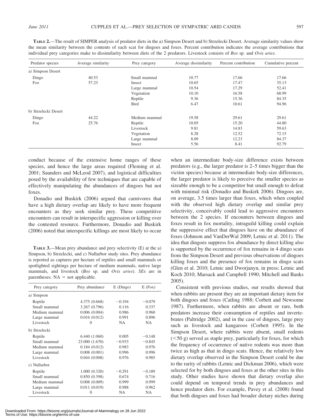| Predator species     | Average similarity | Prey category | Average dissimilarity | Percent contribution | Cumulative percent |
|----------------------|--------------------|---------------|-----------------------|----------------------|--------------------|
| a) Simpson Desert    |                    |               |                       |                      |                    |
| Dingo                | 40.53              | Small mammal  | 10.77                 | 17.66                | 17.66              |
| Fox                  | 57.23              | Insect        | 10.65                 | 17.47                | 35.13              |
|                      |                    | Large mammal  | 10.54                 | 17.29                | 52.41              |
|                      | Vegetation         | 10.10         | 16.58                 | 68.99                |                    |
|                      |                    | Reptile       | 9.36                  | 15.36                | 84.35              |
|                      | <b>Bird</b>        | 6.47          | 10.61                 | 94.96                |                    |
| b) Strzelecki Desert |                    |               |                       |                      |                    |
| Dingo                | 44.22              | Medium mammal | 19.58                 | 29.61                | 29.61              |
| Fox                  | 25.76              | Reptile       | 10.05                 | 15.20                | 44.80              |
|                      | Livestock          | 9.81          | 14.83                 | 59.63                |                    |
|                      | Vegetation         | 8.28          | 12.52                 | 72.15                |                    |
|                      | Large mammal       | 8.09          | 12.23                 | 84.37                |                    |
|                      |                    | Insect        | 5.56                  | 8.41                 | 92.79              |

TABLE 2.—The result of SIMPER analysis of predator diets in the a) Simpson Desert and b) Strzelecki Desert. Average similarity values show the mean similarity between the contents of each scat for dingoes and foxes. Percent contribution indicates the average contributions that individual are actorogies relate to dissimilarity between diets of the 2 predators. individual prey categories make to dissimilarity between diets of the 2 predators. Livestock consists of Bos sp. and Ovis aries.

conduct because of the extensive home ranges of these species, and hence the large areas required (Fleming et al. 2001; Saunders and McLeod 2007), and logistical difficulties posed by the availability of few techniques that are capable of effectively manipulating the abundances of dingoes but not foxes.

Donadio and Buskirk (2006) argued that carnivores that have a high dietary overlap are likely to have more frequent encounters as they seek similar prey. These competitive encounters can result in interspecific aggression or killing over the contested resource. Furthermore, Donadio and Buskirk (2006) noted that interspecific killings are most likely to occur

TABLE 3.—Mean prey abundance and prey selectivity (E) at the a) Simpson, b) Strzelecki, and c) Nullarbor study sites. Prey abundance is reported as captures per hectare of reptiles and small mammals or spotlighted sightings per hectare of medium mammals, native large mammals, and livestock (Bos sp. and Ovis aries). SEs are in parentheses.  $NA = not applicable.$ 

| Prey category | Prey abundance | $E$ (Dingo) | $E$ (Fox) |
|---------------|----------------|-------------|-----------|
| a) Simpson    |                |             |           |
| Reptile       | 4.375 (0.668)  | $-0.194$    | $-0.079$  |
| Small mammal  | 3.267 (0.796)  | 0.116       | 0.337     |
| Medium mammal | 0.006(0.004)   | 0.986       | 0.960     |
| Large mammal  | 0.016(0.012)   | 0.991       | 0.896     |
| Livestock     | $\Omega$       | <b>NA</b>   | <b>NA</b> |
| b) Strzelecki |                |             |           |
| Reptile       | 6.440(1.060)   | 0.005       | $-0.148$  |
| Small mammal  | 23.000 (1.670) | $-0.933$    | $-0.845$  |
| Medium mammal | 0.184(0.012)   | 0.983       | 0.976     |
| Large mammal  | 0.008(0.001)   | 0.996       | 0.996     |
| Livestock     | 0.044(0.008)   | 0.976       | 0.985     |
| c) Nullarbor  |                |             |           |
| Reptile       | 1.000(0.320)   | $-0.291$    | $-0.189$  |
| Small mammal  | 0.850(0.398)   | 0.674       | 0.716     |
| Medium mammal | 0.008(0.009)   | 0.999       | 0.999     |
| Large mammal  | 0.011(0.019)   | 0.988       | 0.962     |
| Livestock     | $\Omega$       | <b>NA</b>   | <b>NA</b> |

Downloaded From: https://bioone.org/journals/Journal-of-Mammalogy on 28 Jun 2022 Terms of Use: https://bioone.org/terms-of-use

when an intermediate body-size difference exists between predators (e.g., the larger predator is 2–5 times bigger than the victim species) because at intermediate body-size differences, the larger predator is likely to perceive the smaller species as sizeable enough to be a competitor but small enough to defeat with minimal risk (Donadio and Buskirk 2006). Dingoes are, on average, 3.5 times larger than foxes, which when coupled with the observed high dietary overlap and similar prey selectivity, conceivably could lead to aggressive encounters between the 2 species. If encounters between dingoes and foxes result in fox mortality, intraguild killing could explain the suppressive effect that dingoes have on the abundance of foxes (Johnson and VanDerWal 2009; Letnic et al. 2011). The idea that dingoes suppress fox abundance by direct killing also is supported by the occurrence of fox remains in 4 dingo scats from the Simpson Desert and previous observations of dingoes killing foxes and the presence of fox remains in dingo scats (Glen et al. 2010; Letnic and Dworjanyn, in press; Letnic and Koch 2010; Marsack and Campbell 1990; Mitchell and Banks 2005).

Consistent with previous studies, our results showed that when rabbits are present they are an important dietary item for both dingoes and foxes (Catling 1988; Corbett and Newsome 1987). Furthermore, when rabbits are absent or rare, both predators increase their consumption of reptiles and invertebrates (Paltridge 2002), and in the case of dingoes, large prey such as livestock and kangaroos (Corbett 1995). In the Simpson Desert, where rabbits were absent, small rodents  $(<50 g$ ) served as staple prey, particularly for foxes, for which the frequency of occurrence of native rodents was more than twice as high as that in dingo scats. Hence, the relatively low dietary overlap observed in the Simpson Desert could be due to the rarity of rabbits (Letnic and Dickman 2006), which were selected for by both dingoes and foxes at the other sites in this study. Other studies have shown that dietary overlap also could depend on temporal trends in prey abundances and hence predator diets. For example, Pavey et al. (2008) found that both dingoes and foxes had broader dietary niches during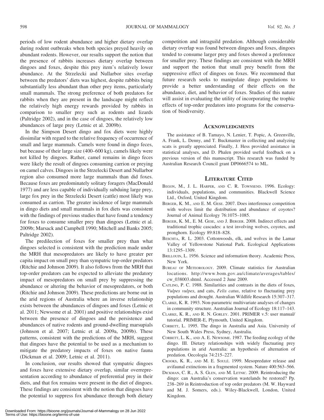periods of low rodent abundance and higher dietary overlap during rodent outbreaks when both species preyed heavily on abundant rodents. However, our results support the notion that the presence of rabbits increases dietary overlap between dingoes and foxes, despite this prey item's relatively lower abundance. At the Strzelecki and Nullarbor sites overlap between the predators' diets was highest, despite rabbits being substantially less abundant than other prey items, particularly small mammals. The strong preference of both predators for rabbits when they are present in the landscape might reflect the relatively high energy rewards provided by rabbits in comparison to smaller prey such as rodents and lizards (Paltridge 2002), and in the case of dingoes, the relatively low abundances of large prey (Letnic et al. 2009b).

In the Simpson Desert dingo and fox diets were highly dissimilar with regard to the relative frequency of occurrence of small and large mammals. Camels were found in dingo feces, but because of their large size (400–600 kg), camels likely were not killed by dingoes. Rather, camel remains in dingo feces were likely the result of dingoes consuming carrion or preying on camel calves. Dingoes in the Strzelecki Desert and Nullarbor region also consumed more large mammals than did foxes. Because foxes are predominately solitary foragers (MacDonald 1977) and are less capable of individually subduing large prey, large fox prey in the Strzelecki Desert (cattle) most likely was consumed as carrion. The greater incidence of large mammals in dingo diets and small mammals in fox diets was consistent with the findings of previous studies that have found a tendency for foxes to consume smaller prey than dingoes (Letnic et al. 2009b; Marsack and Campbell 1990; Mitchell and Banks 2005; Paltridge 2002).

The predilection of foxes for smaller prey than what dingoes selected is consistent with the prediction made under the MRH that mesopredators are likely to have greater per capita impact on small prey than sympatric top-order predators (Ritchie and Johnson 2009). It also follows from the MRH that top-order predators can be expected to alleviate the predatory impact of mesopredators on small prey by suppressing the abundance or altering the behavior of mesopredators, or both (Ritchie and Johnson 2009). These predictions are borne out in the arid regions of Australia where an inverse relationship exists between the abundances of dingoes and foxes (Letnic et al. 2011; Newsome et al. 2001) and positive relationships exist between the presence of dingoes and the persistence and abundances of native rodents and ground-dwelling marsupials (Johnson et al. 2007; Letnic et al. 2009a, 2009b). These patterns, consistent with the predictions of the MRH, suggest that dingoes have the potential to be used as a mechanism to mitigate the predatory impacts of foxes on native fauna (Dickman et al. 2009; Letnic et al. 2011).

In conclusion, our results showed that sympatric dingoes and foxes have extensive dietary overlap, similar overrepresentation according to abundance of preferential prey in their diets, and that fox remains were present in the diet of dingoes. These findings are consistent with the notion that dingoes have the potential to suppress fox abundance through both dietary competition and intraguild predation. Although considerable dietary overlap was found between dingoes and foxes, dingoes tended to consume larger prey and foxes showed a preference for smaller prey. These findings are consistent with the MRH and support the notion that small prey benefit from the suppressive effect of dingoes on foxes. We recommend that future research seeks to manipulate dingo populations to provide a better understanding of their effects on the abundance, diet, and behavior of foxes. Studies of this nature will assist in evaluating the utility of incorporating the trophic effects of top-order predators into programs for the conservation of biodiversity.

#### **ACKNOWLEDGMENTS**

The assistance of B. Tamayo, N. Lenier, T. Popic, A. Greenville, A. Frank, L. Denny, and T. Buckmaster in collecting and analyzing scats is greatly appreciated. Finally, J. Hess provided assistance in statistical analyses, and D. Phalen provided useful feedback on a previous version of this manuscript. This research was funded by Australian Research Council grant DP0666574 to ML.

#### LITERATURE CITED

- BEGON, M., J. L. HARPER, AND C. R. TOWNSEND. 1996. Ecology: individuals, populations, and communities. Blackwell Science Ltd., Oxford, United Kingdom.
- BERGER, K. M., AND E. M. GESE. 2007. Does interference competition with wolves limit the distribution and abundance of coyotes? Journal of Animal Ecology 76:1075–1085.
- BERGER, K. M., E. M. GESE, AND J. BERGER. 2008. Indirect effects and traditional trophic cascades: a test involving wolves, coyotes, and pronghorn. Ecology 89:818–828.
- BESCHTA, R. L. 2003. Cottonwoods, elk, and wolves in the Lamar Valley of Yellowstone National Park. Ecological Applications 13:1295–1309.
- BRILLOUIN, L. 1956. Science and information theory. Academic Press, New York.
- BUREAU OF METEOROLOGY. 2009. Climate statistics for Australian locations. http://www.bom.gov.au/climate/averages/tables/ cw\_038003.shtml. Accessed 2 June 2009.
- CATLING, P. C. 1988. Similarities and contrasts in the diets of foxes, Vulpes vulpes, and cats, Felis catus, relative to fluctuating prey populations and drought. Australian Wildlife Research 15:307–317.
- CLARKE, K. R. 1993. Non-parametric multivariate analyses of changes in community structure. Australian Journal of Ecology 18:117–143.
- CLARKE, K. R., AND R. N. GORLEY. 2001. PRIMER v.5: user manual/ tutorial. PRIMER-E, Plymouth, United Kingdom.
- CORBETT, L. 1995. The dingo in Australia and Asia. University of New South Wales Press, Sydney, Australia.
- CORBETT, L. K., AND A. E. NEWSOME. 1987. The feeding ecology of the dingo. III. Dietary relationships with widely fluctuating prey populations in arid Australia: an hypothesis of alternation of predation. Oecologia 74:215–227.
- CROOKS, K. R., AND M. E. SOULÉ. 1999. Mesopredator release and avifaunal extinctions in a fragmented system. Nature 400:563–566.
- DICKMAN, C. R., A. S. GLEN, AND M. LETNIC. 2009. Reintroducing the dingo: can Australia's conservation wastelands be restored? Pp. 238–269 in Reintroduction of top order predators (M. W. Hayward and M. J. Somers, eds.). Wiley-Blackwell, London, United Kingdom.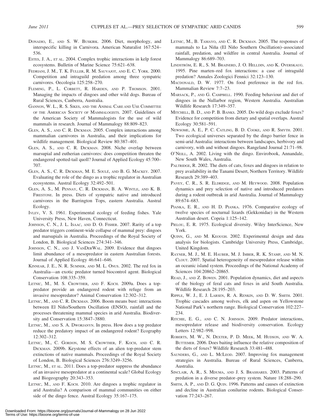- DONADIO, E., AND S. W. BUSKIRK. 2006. Diet, morphology, and interspecific killing in Carnivora. American Naturalist 167:524– 536.
- ESTES, J. A., ET AL. 2004. Complex trophic interactions in kelp forest ecosystems. Bulletin of Marine Science 75:621–638.
- FEDRIANI, J. M., T. K. FULLER, R. M. SAUVAJOT, AND E. C. YORK. 2000. Competition and intraguild predation among three sympatric carnivores. Oecologia 125:258–270.
- FLEMING, P., L. CORBETT, R. HARDEN, AND P. THOMSON. 2001. Managing the impacts of dingoes and other wild dogs. Bureau of Rural Sciences, Canberra, Australia.
- GANNON, W. L., R. S. SIKES, AND THE ANIMAL CARE AND USE COMMITTEE OF THE AMERICAN SOCIETY OF MAMMALOGISTS. 2007. Guidelines of the American Society of Mammalogists for the use of wild mammals in research. Journal of Mammalogy 88:809–823.
- GLEN, A. S., AND C. R. DICKMAN. 2005. Complex interactions among mammalian carnivores in Australia, and their implications for wildlife management. Biological Review 80:387–401.
- GLEN, A. S., AND C. R. DICKMAN. 2008. Niche overlap between marsupial and eutherian carnivores: does competition threaten the endangered spotted-tail quoll? Journal of Applied Ecology 45:700– 707.
- GLEN, A. S., C. R. DICKMAN, M. E. SOULÉ, AND B. G. MACKEY. 2007. Evaluating the role of the dingo as a trophic regulator in Australian ecosystems. Austral Ecology 32:492–501.
- GLEN, A. S., M. PENNAY, C. R. DICKMAN, B. A. WINTLE, AND K. B. FIRESTONE. In press. Diets of sympatric native and introduced carnivores in the Barrington Tops, eastern Australia. Austral Ecology.
- IVLEV, V. S. 1961. Experimental ecology of feeding fishes. Yale University Press, New Haven, Connecticut.
- JOHNSON, C. N., J. L. ISAAC, AND D. O. FISHER. 2007. Rarity of a top predator triggers continent-wide collapse of mammal prey: dingoes and marsupials in Australia. Proceedings of the Royal Society of London, B. Biological Sciences 274:341–346.
- JOHNSON, C. N., AND J. VANDERWAL. 2009. Evidence that dingoes limit abundance of a mesopredator in eastern Australian forests. Journal of Applied Ecology 46:641–646.
- KINNEAR, J. E., N. R. SUMNER, AND M. L. ONUS. 2002. The red fox in Australia—an exotic predator turned biocontrol agent. Biological Conservation 108:335–359.
- LETNIC, M., M. S. CROWTHER, AND F. KOCH. 2009a. Does a toppredator provide an endangered rodent with refuge from an invasive mesopredator? Animal Conservation 12:302–312.
- LETNIC, M., AND C. R. DICKMAN. 2006. Boom means bust: interactions between El Niño/Southern Oscillation (ENSO), rainfall and the processes threatening mammal species in arid Australia. Biodiversity and Conservation 15:3847–3880.
- LETNIC, M., AND S. A. DWORJANYN. In press. How does a top predator reduce the predatory impact of an endangered rodent? Ecography 12:302–312.
- LETNIC, M., C. GORDON, M. S. CROWTHER, F. KOCH, AND C. R. DICKMAN. 2009b. Keystone effects of an alien top-predator stem extinctions of native mammals. Proceedings of the Royal Society of London, B. Biological Sciences 276:3249–3256.
- LETNIC, M., ET AL. 2011. Does a top-predator suppress the abundance of an invasive mesopredator at a continental scale? Global Ecology and Biogeography 20:343–353.
- LETNIC, M., AND F. KOCH. 2010. Are dingoes a trophic regulator in arid Australia? A comparison of mammal communities on either side of the dingo fence. Austral Ecology 35:167–175.
- LETNIC, M., B. TAMAYO, AND C. R. DICKMAN. 2005. The responses of mammals to La Niña (El Niño Southern Oscillation)–associated rainfall, predation, and wildfire in central Australia. Journal of Mammalogy 86:689–703.
- LINDSTRÖM, E. R., S. M. BRAINERD, J. O. HELLDIN, AND K. OVERSKAUG. 1995. Pine marten–red fox interactions: a case of intraguild predation? Annales Zoologici Fennici 32:123–130.
- MACDONALD, D. W. 1977. On food preference in the red fox. Mammalian Review 7:7–23.
- MARSACK, P., AND G. CAMPBELL. 1990. Feeding behaviour and diet of dingoes in the Nullarbor region, Western Australia. Australian Wildlife Research 17:349–357.
- MITCHELL, B. D., AND P. B. BANKS. 2005. Do wild dogs exclude foxes? Evidence for competition from dietary and spatial overlaps. Austral Ecology 30:581–591.
- NEWSOME, A. E., P. C. CATLING, B. D. COOKE, AND R. SMYTH. 2001. Two ecological universes separated by the dingo barrier fence in semi-arid Australia: interactions between landscapes, herbivory and carnivory, with and without dingoes. Rangeland Journal 21:71–98.
- O'NEILL, A. 2002. Living with the dingo. Envirobook, Annandale, New South Wales, Australia.
- PALTRIDGE, R. 2002. The diets of cats, foxes and dingoes in relation to prey availability in the Tanami Desert, Northern Territory. Wildlife Research 29:389–403.
- PAVEY, C. R., S. R. ELDRIDGE, AND M. HEYWOOD. 2008. Population dynamics and prey selection of native and introduced predators during a rodent outbreak in arid Australia. Journal of Mammalogy 89:674–683.
- PIANKA, E. R., AND H. D. PIANKA. 1976. Comparative ecology of twelve species of nocturnal lizards (Gekkonidae) in the Western Australian desert. Copeia 1:125–142.
- PIELOU, E. R. 1975. Ecological diversity. Wiley InterScience, New York.
- QUINN, G., AND M. KEOUGH. 2002. Experimental design and data analysis for biologists. Cambridge University Press, Cambridge, United Kingdom.
- RAYNER, M. J., M. E. HAUBER, M. J. IMBER, R. K. STAMP, AND M. N. CLOUT. 2007. Spatial heterogeneity of mesopredator release within an oceanic island system. Proceedings of the National Academy of Sciences 104:20862–20865.
- READ, J., AND Z. BOWEN. 2001. Population dynamics, diet and aspects of the biology of feral cats and foxes in arid South Australia. Wildlife Research 28:195–203.
- RIPPLE, W. J., E. J. LARSEN, R. A. RENKIN, AND D. W. SMITH. 2001. Trophic cascades among wolves, elk and aspen on Yellowstone National Park's northern range. Biological Conservation 102:227– 234.
- RITCHIE, E. G., AND C. N. JOHNSON. 2009. Predator interactions, mesopredator release and biodiversity conservation. Ecology Letters 12:982–998.
- ROBERTS, M. W., N. DEXTER, P. D. MEEK, M. HUDSON, AND W. A. BUTTEMER. 2006. Does baiting influence the relative composition of the diets of foxes? Wildlife Research 33:481–488.
- SAUNDERS, G., AND L. MCLEOD. 2007. Improving fox management strategies in Australia. Bureau of Rural Sciences, Canberra, Australia.
- SINCLAIR, A. R., S. MDUMA, AND J. S. BRASHARES. 2003. Patterns of predation in a diverse predator–prey system. Nature 18:288–290.
- SMITH, A. P., AND D. G. QUIN. 1996. Patterns and causes of extinction and decline in Australian conilurine rodents. Biological Conservation 77:243–267.